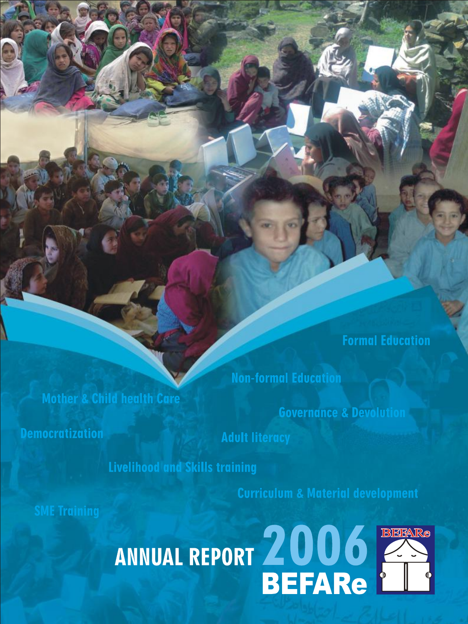**Formal Education** 

**Non-formal Education** 

**Governance & Devolution** 

**Democratization** 

**Mother & Child health Care** 

**Adult literacy** 

**Livelihood and Skills training** 

**Curriculum & Material development** 

**SME Training** 

# ANNUAL REPORT 2006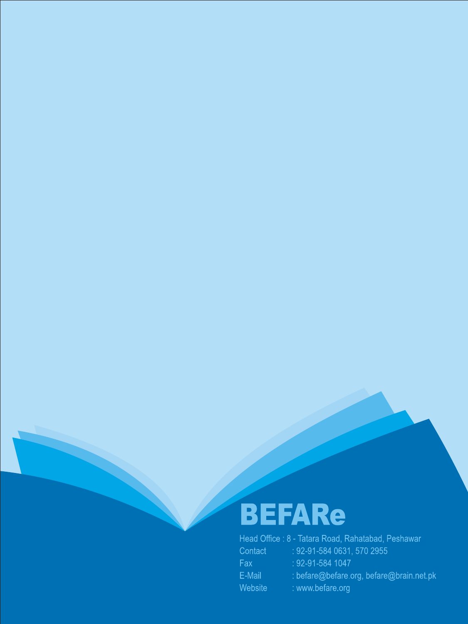# BEFARe

|         | Head Office : 8 - Tatara Road, Rahatabad, Peshawar |
|---------|----------------------------------------------------|
| Contact | $: 92 - 91 - 5840631, 5702955$                     |
| Fax     | $: 92 - 91 - 584$ 1047                             |
| E-Mail  | : befare@befare.org, befare@brain.net.pl           |
| Website | : www.befare.org                                   |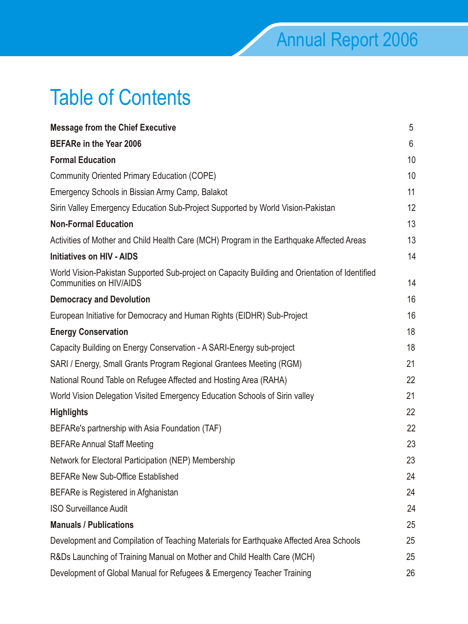# Table of Contents

| <b>Message from the Chief Executive</b>                                                                                          | 5  |
|----------------------------------------------------------------------------------------------------------------------------------|----|
| <b>BEFARe in the Year 2006</b>                                                                                                   | 6  |
| <b>Formal Education</b>                                                                                                          | 10 |
| <b>Community Oriented Primary Education (COPE)</b>                                                                               | 10 |
| Emergency Schools in Bissian Army Camp, Balakot                                                                                  | 11 |
| Sirin Valley Emergency Education Sub-Project Supported by World Vision-Pakistan                                                  | 12 |
| <b>Non-Formal Education</b>                                                                                                      | 13 |
| Activities of Mother and Child Health Care (MCH) Program in the Earthquake Affected Areas                                        | 13 |
| <b>Initiatives on HIV - AIDS</b>                                                                                                 | 14 |
| World Vision-Pakistan Supported Sub-project on Capacity Building and Orientation of Identified<br><b>Communities on HIV/AIDS</b> | 14 |
| <b>Democracy and Devolution</b>                                                                                                  | 16 |
| European Initiative for Democracy and Human Rights (EIDHR) Sub-Project                                                           | 16 |
| <b>Energy Conservation</b>                                                                                                       | 18 |
| Capacity Building on Energy Conservation - A SARI-Energy sub-project                                                             | 18 |
| SARI / Energy, Small Grants Program Regional Grantees Meeting (RGM)                                                              | 21 |
| National Round Table on Refugee Affected and Hosting Area (RAHA)                                                                 | 22 |
| World Vision Delegation Visited Emergency Education Schools of Sirin valley                                                      | 21 |
| <b>Highlights</b>                                                                                                                | 22 |
| BEFARe's partnership with Asia Foundation (TAF)                                                                                  | 22 |
| <b>BEFARe Annual Staff Meeting</b>                                                                                               | 23 |
| Network for Electoral Participation (NEP) Membership                                                                             | 23 |
| <b>BEFARe New Sub-Office Established</b>                                                                                         | 24 |
| BEFARe is Registered in Afghanistan                                                                                              | 24 |
| <b>ISO Surveillance Audit</b>                                                                                                    | 24 |
| <b>Manuals / Publications</b>                                                                                                    | 25 |
| Development and Compilation of Teaching Materials for Earthquake Affected Area Schools                                           | 25 |
| R&Ds Launching of Training Manual on Mother and Child Health Care (MCH)                                                          | 25 |
| Development of Global Manual for Refugees & Emergency Teacher Training                                                           | 26 |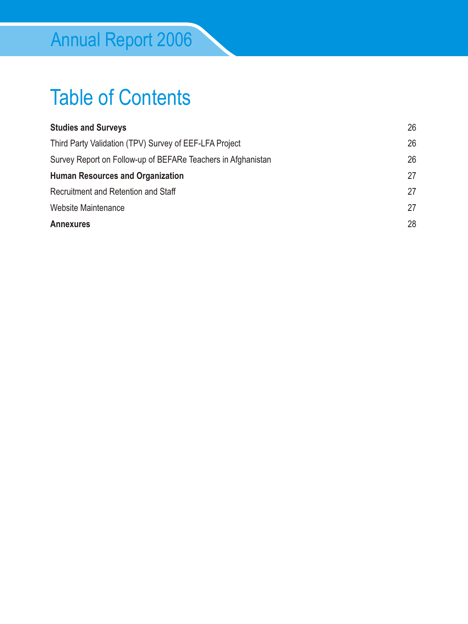# Table of Contents

| <b>Studies and Surveys</b>                                   | 26 |
|--------------------------------------------------------------|----|
| Third Party Validation (TPV) Survey of EEF-LFA Project       | 26 |
| Survey Report on Follow-up of BEFARe Teachers in Afghanistan | 26 |
| <b>Human Resources and Organization</b>                      | 27 |
| Recruitment and Retention and Staff                          | 27 |
| <b>Website Maintenance</b>                                   | 27 |
| <b>Annexures</b>                                             | 28 |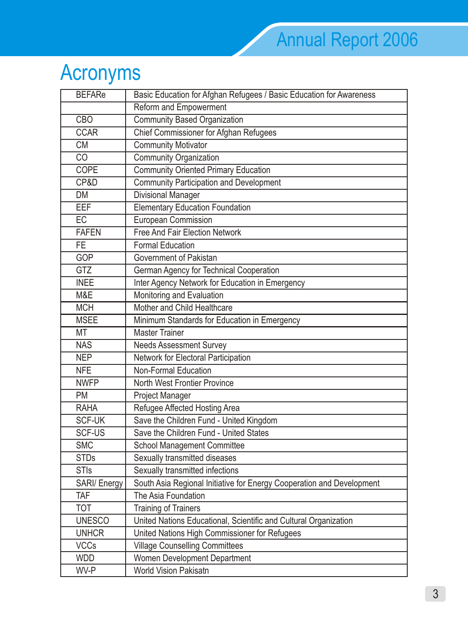# Acronyms

| <b>BEFARe</b>       | Basic Education for Afghan Refugees / Basic Education for Awareness   |
|---------------------|-----------------------------------------------------------------------|
|                     | Reform and Empowerment                                                |
| CBO                 | <b>Community Based Organization</b>                                   |
| <b>CCAR</b>         | <b>Chief Commissioner for Afghan Refugees</b>                         |
| <b>CM</b>           | <b>Community Motivator</b>                                            |
| CO                  | <b>Community Organization</b>                                         |
| <b>COPE</b>         | <b>Community Oriented Primary Education</b>                           |
| CP&D                | <b>Community Participation and Development</b>                        |
| <b>DM</b>           | <b>Divisional Manager</b>                                             |
| <b>EEF</b>          | <b>Elementary Education Foundation</b>                                |
| <b>EC</b>           | European Commission                                                   |
| <b>FAFEN</b>        | <b>Free And Fair Election Network</b>                                 |
| FE.                 | <b>Formal Education</b>                                               |
| <b>GOP</b>          | Government of Pakistan                                                |
| <b>GTZ</b>          | German Agency for Technical Cooperation                               |
| <b>INEE</b>         | Inter Agency Network for Education in Emergency                       |
| M&E                 | Monitoring and Evaluation                                             |
| <b>MCH</b>          | Mother and Child Healthcare                                           |
| <b>MSEE</b>         | Minimum Standards for Education in Emergency                          |
| МT                  | <b>Master Trainer</b>                                                 |
| <b>NAS</b>          | <b>Needs Assessment Survey</b>                                        |
| <b>NEP</b>          | Network for Electoral Participation                                   |
| <b>NFE</b>          | <b>Non-Formal Education</b>                                           |
| <b>NWFP</b>         | North West Frontier Province                                          |
| <b>PM</b>           | <b>Project Manager</b>                                                |
| <b>RAHA</b>         | Refugee Affected Hosting Area                                         |
| <b>SCF-UK</b>       | Save the Children Fund - United Kingdom                               |
| <b>SCF-US</b>       | Save the Children Fund - United States                                |
| <b>SMC</b>          | <b>School Management Committee</b>                                    |
| <b>STDs</b>         | Sexually transmitted diseases                                         |
| <b>STIs</b>         | Sexually transmitted infections                                       |
| <b>SARI/ Energy</b> | South Asia Regional Initiative for Energy Cooperation and Development |
| TAF                 | The Asia Foundation                                                   |
| TOT                 | <b>Training of Trainers</b>                                           |
| <b>UNESCO</b>       | United Nations Educational, Scientific and Cultural Organization      |
| <b>UNHCR</b>        | United Nations High Commissioner for Refugees                         |
| <b>VCCs</b>         | <b>Village Counselling Committees</b>                                 |
| <b>WDD</b>          | Women Development Department                                          |
| WV-P                | <b>World Vision Pakisatn</b>                                          |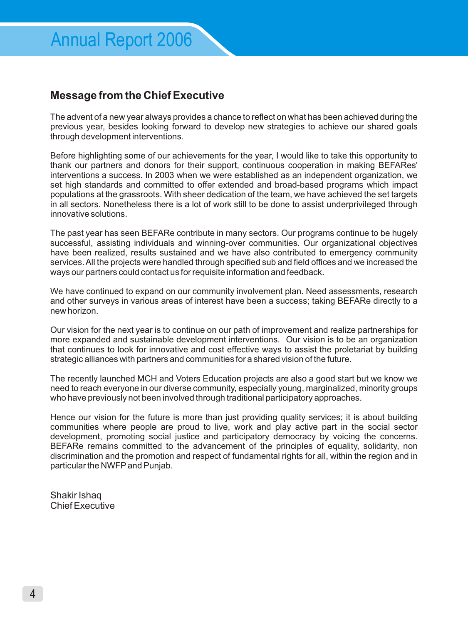## **Message from the Chief Executive**

The advent of a new year always provides a chance to reflect on what has been achieved during the previous year, besides looking forward to develop new strategies to achieve our shared goals through development interventions.

Before highlighting some of our achievements for the year, I would like to take this opportunity to thank our partners and donors for their support, continuous cooperation in making BEFARes' interventions a success. In 2003 when we were established as an independent organization, we set high standards and committed to offer extended and broad-based programs which impact populations at the grassroots. With sheer dedication of the team, we have achieved the set targets in all sectors. Nonetheless there is a lot of work still to be done to assist underprivileged through innovative solutions.

The past year has seen BEFARe contribute in many sectors. Our programs continue to be hugely successful, assisting individuals and winning-over communities. Our organizational objectives have been realized, results sustained and we have also contributed to emergency community services. All the projects were handled through specified sub and field offices and we increased the ways our partners could contact us for requisite information and feedback.

We have continued to expand on our community involvement plan. Need assessments, research and other surveys in various areas of interest have been a success; taking BEFARe directly to a new horizon.

Our vision for the next year is to continue on our path of improvement and realize partnerships for more expanded and sustainable development interventions. Our vision is to be an organization that continues to look for innovative and cost effective ways to assist the proletariat by building strategic alliances with partners and communities for a shared vision of the future.

The recently launched MCH and Voters Education projects are also a good start but we know we need to reach everyone in our diverse community, especially young, marginalized, minority groups who have previously not been involved through traditional participatory approaches.

Hence our vision for the future is more than just providing quality services; it is about building communities where people are proud to live, work and play active part in the social sector development, promoting social justice and participatory democracy by voicing the concerns. BEFARe remains committed to the advancement of the principles of equality, solidarity, non discrimination and the promotion and respect of fundamental rights for all, within the region and in particular the NWFPand Punjab.

Shakir Ishaq Chief Executive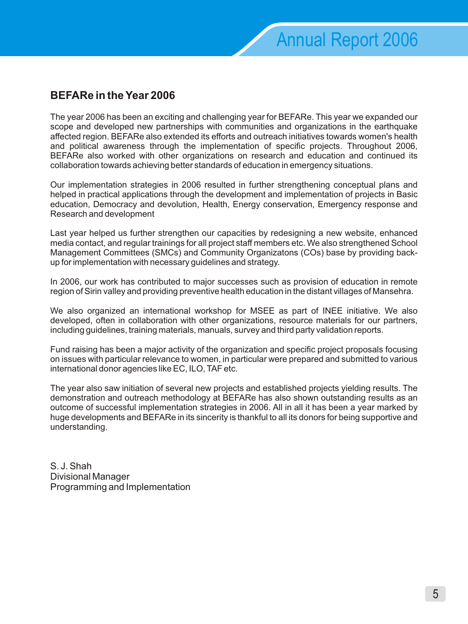# **BEFARe in the Year 2006**

The year 2006 has been an exciting and challenging year for BEFARe. This year we expanded our scope and developed new partnerships with communities and organizations in the earthquake affected region. BEFARe also extended its efforts and outreach initiatives towards women's health and political awareness through the implementation of specific projects. Throughout 2006, BEFARe also worked with other organizations on research and education and continued its collaboration towards achieving better standards of education in emergency situations.

Our implementation strategies in 2006 resulted in further strengthening conceptual plans and helped in practical applications through the development and implementation of projects in Basic education, Democracy and devolution, Health, Energy conservation, Emergency response and Research and development

Last year helped us further strengthen our capacities by redesigning a new website, enhanced media contact, and regular trainings for all project staff members etc. We also strengthened School Management Committees (SMCs) and Community Organizatons (COs) base by providing backup for implementation with necessary guidelines and strategy.

In 2006, our work has contributed to major successes such as provision of education in remote region of Sirin valley and providing preventive health education in the distant villages of Mansehra.

We also organized an international workshop for MSEE as part of INEE initiative. We also developed, often in collaboration with other organizations, resource materials for our partners, including guidelines, training materials, manuals, survey and third party validation reports.

Fund raising has been a major activity of the organization and specific project proposals focusing on issues with particular relevance to women, in particular were prepared and submitted to various international donor agencies like EC, ILO, TAF etc.

The year also saw initiation of several new projects and established projects yielding results. The demonstration and outreach methodology at BEFARe has also shown outstanding results as an outcome of successful implementation strategies in 2006. All in all it has been a year marked by huge developments and BEFARe in its sincerity is thankful to all its donors for being supportive and understanding.

S. J. Shah Divisional Manager Programming and Implementation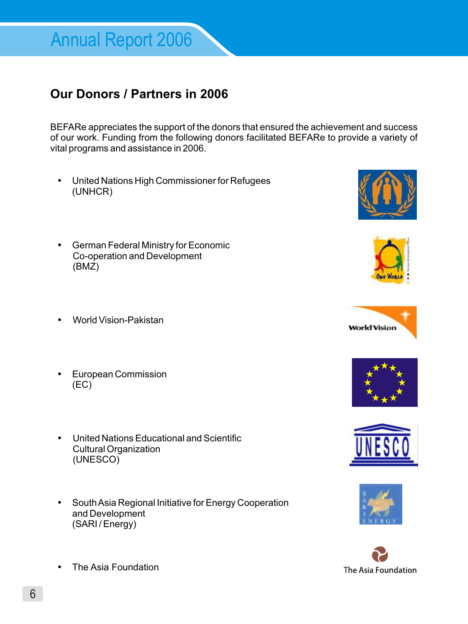# **Our Donors / Partners in 2006**

BEFARe appreciates the support of the donors that ensured the achievement and success of our work. Funding from the following donors facilitated BEFARe to provide a variety of vital programs and assistance in 2006.

- ð• United Nations High Commissioner for Refugees (UNHCR)
- ð• German Federal Ministry for Economic Co-operation and Development (BMZ)
- ð• World Vision-Pakistan
- ð• European Commission (EC)
- ð• United Nations Educational and Scientific Cultural Organization (UNESCO)
- ð• South Asia Regional Initiative for Energy Cooperation and Development (SARI / Energy)















ð• The Asia Foundation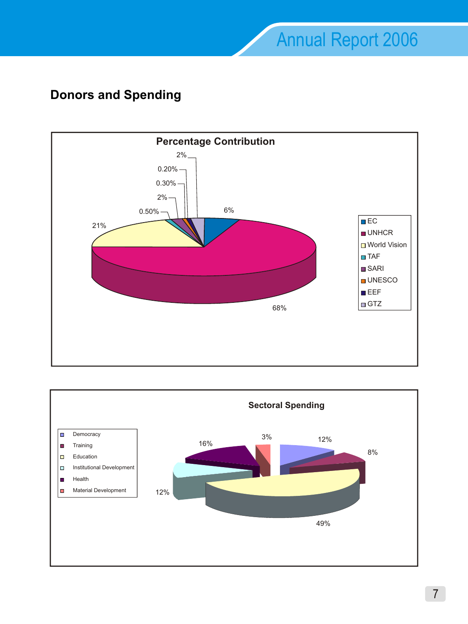# **Donors and Spending**



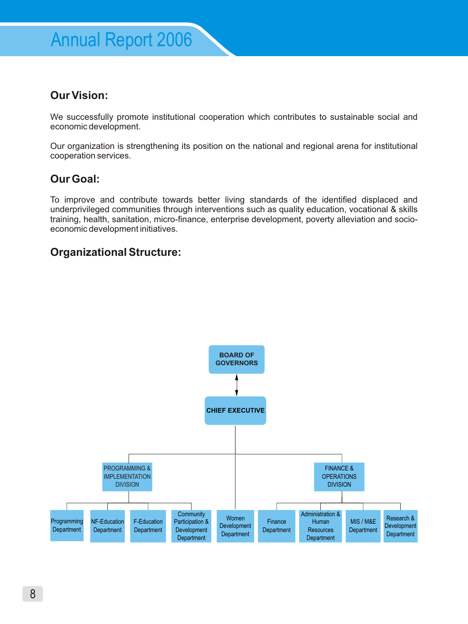# **Our Vision:**

We successfully promote institutional cooperation which contributes to sustainable social and economic development.

Our organization is strengthening its position on the national and regional arena for institutional cooperation services.

# **Our Goal:**

To improve and contribute towards better living standards of the identified displaced and underprivileged communities through interventions such as quality education, vocational & skills training, health, sanitation, micro-finance, enterprise development, poverty alleviation and socioeconomic development initiatives.

## **Organizational Structure:**

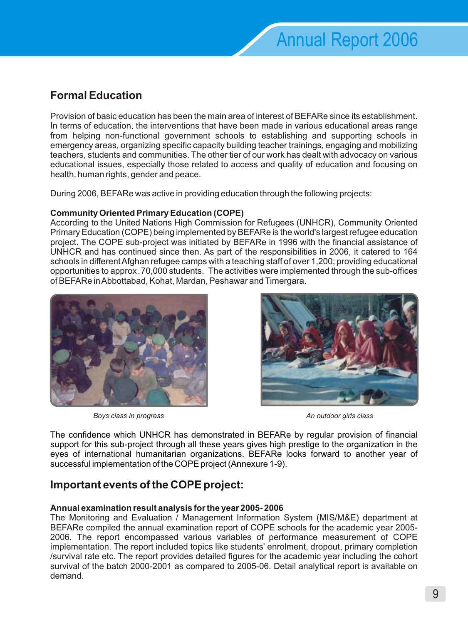# **Formal Education**

Provision of basic education has been the main area of interest of BEFARe since its establishment. In terms of education, the interventions that have been made in various educational areas range from helping non-functional government schools to establishing and supporting schools in emergency areas, organizing specific capacity building teacher trainings, engaging and mobilizing teachers, students and communities. The other tier of our work has dealt with advocacy on various educational issues, especially those related to access and quality of education and focusing on health, human rights, gender and peace.

During 2006, BEFARe was active in providing education through the following projects:

## **Community Oriented Primary Education (COPE)**

According to the United Nations High Commission for Refugees (UNHCR), Community Oriented Primary Education (COPE) being implemented by BEFARe is the world's largest refugee education project. The COPE sub-project was initiated by BEFARe in 1996 with the financial assistance of UNHCR and has continued since then. As part of the responsibilities in 2006, it catered to 164 schools in different Afghan refugee camps with a teaching staff of over 1,200; providing educational opportunities to approx. 70,000 students. The activities were implemented through the sub-offices of BEFARe in Abbottabad, Kohat, Mardan, Peshawar and Timergara.



*Boys class in progress An outdoor girls class*



The confidence which UNHCR has demonstrated in BEFARe by regular provision of financial support for this sub-project through all these years gives high prestige to the organization in the eyes of international humanitarian organizations. BEFARe looks forward to another year of successful implementation of the COPE project (Annexure 1-9).

# **Important events of the COPE project:**

## **Annual examination result analysis for the year 2005- 2006**

The Monitoring and Evaluation / Management Information System (MIS/M&E) department at BEFARe compiled the annual examination report of COPE schools for the academic year 2005- 2006. The report encompassed various variables of performance measurement of COPE implementation. The report included topics like students' enrolment, dropout, primary completion /survival rate etc. The report provides detailed figures for the academic year including the cohort survival of the batch 2000-2001 as compared to 2005-06. Detail analytical report is available on demand.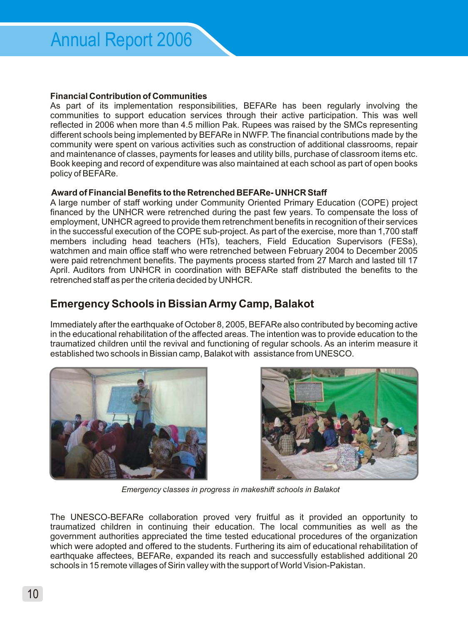#### **Financial Contribution of Communities**

As part of its implementation responsibilities, BEFARe has been regularly involving the communities to support education services through their active participation. This was well reflected in 2006 when more than 4.5 million Pak. Rupees was raised by the SMCs representing different schools being implemented by BEFARe in NWFP. The financial contributions made by the community were spent on various activities such as construction of additional classrooms, repair and maintenance of classes, payments for leases and utility bills, purchase of classroom items etc. Book keeping and record of expenditure was also maintained at each school as part of open books policy of BEFARe.

#### **Award of Financial Benefits to the Retrenched BEFARe- UNHCR Staff**

A large number of staff working under Community Oriented Primary Education (COPE) project financed by the UNHCR were retrenched during the past few years. To compensate the loss of employment, UNHCR agreed to provide them retrenchment benefits in recognition of their services in the successful execution of the COPE sub-project. As part of the exercise, more than 1,700 staff members including head teachers (HTs), teachers, Field Education Supervisors (FESs), watchmen and main office staff who were retrenched between February 2004 to December 2005 were paid retrenchment benefits. The payments process started from 27 March and lasted till 17 April. Auditors from UNHCR in coordination with BEFARe staff distributed the benefits to the retrenched staff as per the criteria decided by UNHCR.

# **Emergency Schools in Bissian Army Camp, Balakot**

Immediately after the earthquake of October 8, 2005, BEFARe also contributed by becoming active in the educational rehabilitation of the affected areas. The intention was to provide education to the traumatized children until the revival and functioning of regular schools. As an interim measure it established two schools in Bissian camp, Balakot with assistance from UNESCO.





*Emergency* c*lasses in progress in makeshift schools in Balakot*

The UNESCO-BEFARe collaboration proved very fruitful as it provided an opportunity to traumatized children in continuing their education. The local communities as well as the government authorities appreciated the time tested educational procedures of the organization which were adopted and offered to the students. Furthering its aim of educational rehabilitation of earthquake affectees, BEFARe, expanded its reach and successfully established additional 20 schools in 15 remote villages of Sirin valley with the support of World Vision-Pakistan.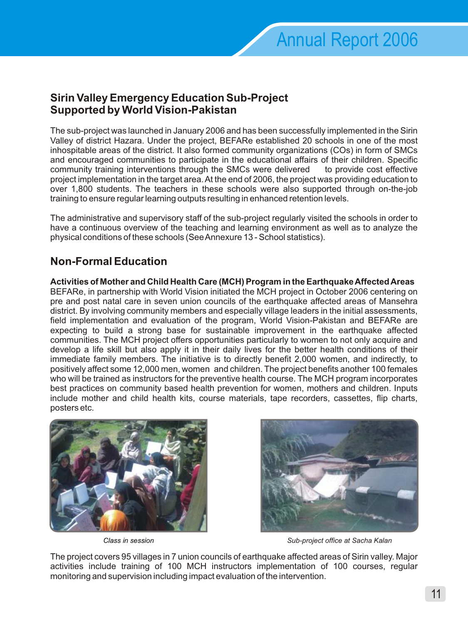## **Sirin Valley Emergency Education Sub-Project Supported by World Vision-Pakistan**

The sub-project was launched in January 2006 and has been successfully implemented in the Sirin Valley of district Hazara. Under the project, BEFARe established 20 schools in one of the most inhospitable areas of the district. It also formed community organizations (COs) in form of SMCs and encouraged communities to participate in the educational affairs of their children. Specific community training interventions through the SMCs were delivered to provide cost effective project implementation in the target area. At the end of 2006, the project was providing education to over 1,800 students. The teachers in these schools were also supported through on-the-job training to ensure regular learning outputs resulting in enhanced retention levels.

The administrative and supervisory staff of the sub-project regularly visited the schools in order to have a continuous overview of the teaching and learning environment as well as to analyze the physical conditions of these schools (See Annexure 13 - School statistics).

# **Non-Formal Education**

**Activities of Mother and Child Health Care (MCH) Program in the Earthquake Affected Areas** BEFARe, in partnership with World Vision initiated the MCH project in October 2006 centering on pre and post natal care in seven union councils of the earthquake affected areas of Mansehra district. By involving community members and especially village leaders in the initial assessments, field implementation and evaluation of the program, World Vision-Pakistan and BEFARe are expecting to build a strong base for sustainable improvement in the earthquake affected communities. The MCH project offers opportunities particularly to women to not only acquire and develop a life skill but also apply it in their daily lives for the better health conditions of their immediate family members. The initiative is to directly benefit 2,000 women, and indirectly, to positively affect some 12,000 men, women and children. The project benefits another 100 females who will be trained as instructors for the preventive health course. The MCH program incorporates best practices on community based health prevention for women, mothers and children. Inputs include mother and child health kits, course materials, tape recorders, cassettes, flip charts, posters etc.





*Class in session Sub-project office at Sacha Kalan*

The project covers 95 villages in 7 union councils of earthquake affected areas of Sirin valley. Major activities include training of 100 MCH instructors implementation of 100 courses, regular monitoring and supervision including impact evaluation of the intervention.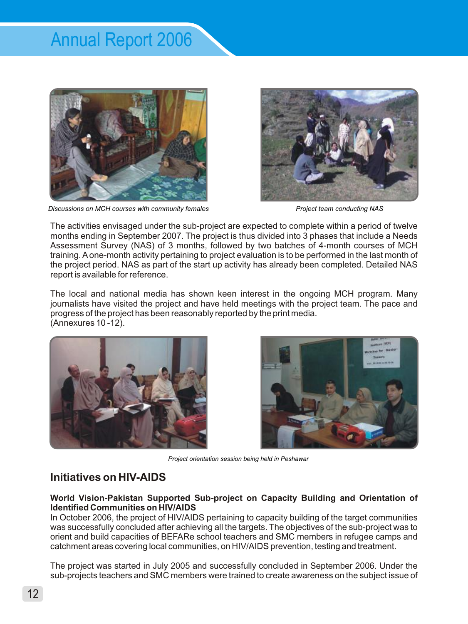

*Discussions on MCH courses with community females Project team conducting NAS*



The activities envisaged under the sub-project are expected to complete within a period of twelve months ending in September 2007. The project is thus divided into 3 phases that include a Needs Assessment Survey (NAS) of 3 months, followed by two batches of 4-month courses of MCH training. Aone-month activity pertaining to project evaluation is to be performed in the last month of the project period. NAS as part of the start up activity has already been completed. Detailed NAS report is available for reference.

The local and national media has shown keen interest in the ongoing MCH program. Many journalists have visited the project and have held meetings with the project team. The pace and progress of the project has been reasonably reported by the print media. (Annexures 10 -12).





*Project orientation session being held in Peshawar*

# **Initiatives on HIV-AIDS**

**World Vision-Pakistan Supported Sub-project on Capacity Building and Orientation of Identified Communities on HIV/AIDS** 

In October 2006, the project of HIV/AIDS pertaining to capacity building of the target communities was successfully concluded after achieving all the targets. The objectives of the sub-project was to orient and build capacities of BEFARe school teachers and SMC members in refugee camps and catchment areas covering local communities, on HIV/AIDS prevention, testing and treatment.

The project was started in July 2005 and successfully concluded in September 2006. Under the sub-projects teachers and SMC members were trained to create awareness on the subject issue of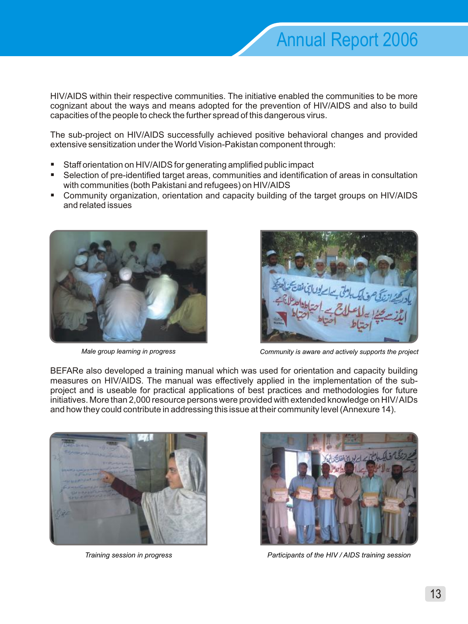HIV/AIDS within their respective communities. The initiative enabled the communities to be more cognizant about the ways and means adopted for the prevention of HIV/AIDS and also to build capacities of the people to check the further spread of this dangerous virus.

The sub-project on HIV/AIDS successfully achieved positive behavioral changes and provided extensive sensitization under the World Vision-Pakistan component through:

- § Staff orientation on HIV/AIDS for generating amplified public impact
- Selection of pre-identified target areas, communities and identification of areas in consultation with communities (both Pakistani and refugees) on HIV/AIDS
- § Community organization, orientation and capacity building of the target groups on HIV/AIDS and related issues





*Male group learning in progress Community is aware and actively supports the project*

BEFARe also developed a training manual which was used for orientation and capacity building measures on HIV/AIDS. The manual was effectively applied in the implementation of the subproject and is useable for practical applications of best practices and methodologies for future initiatives. More than 2,000 resource persons were provided with extended knowledge on HIV/ AIDs and how they could contribute in addressing this issue at their community level (Annexure 14).





*Training session in progress Participants of the HIV / AIDS training session*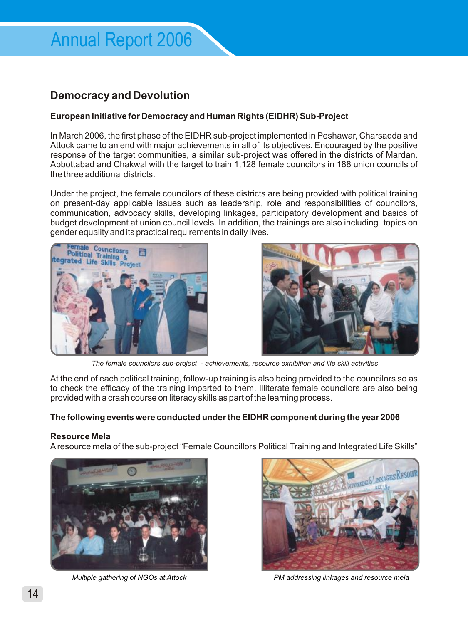# **Democracy and Devolution**

#### **European Initiative for Democracy and Human Rights (EIDHR) Sub-Project**

In March 2006, the first phase of the EIDHR sub-project implemented in Peshawar, Charsadda and Attock came to an end with major achievements in all of its objectives. Encouraged by the positive response of the target communities, a similar sub-project was offered in the districts of Mardan, Abbottabad and Chakwal with the target to train 1,128 female councilors in 188 union councils of the three additional districts.

Under the project, the female councilors of these districts are being provided with political training on present-day applicable issues such as leadership, role and responsibilities of councilors, communication, advocacy skills, developing linkages, participatory development and basics of budget development at union council levels. In addition, the trainings are also including topics on gender equality and its practical requirements in daily lives.





*The female councilors sub-project - achievements, resource exhibition and life skill activities* 

At the end of each political training, follow-up training is also being provided to the councilors so as to check the efficacy of the training imparted to them. Illiterate female councilors are also being provided with a crash course on literacy skills as part of the learning process.

#### **The following events were conducted under the EIDHR component during the year 2006**

#### **Resource Mela**

Aresource mela of the sub-project "Female Councillors Political Training and Integrated Life Skills"





*Multiple gathering of NGOs at Attock PM addressing linkages and resource mela*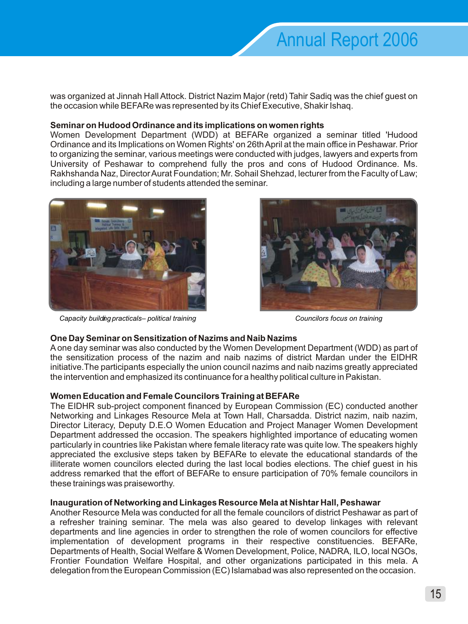was organized at Jinnah Hall Attock. District Nazim Major (retd) Tahir Sadiq was the chief guest on the occasion while BEFARe was represented by its Chief Executive, Shakir Ishaq.

#### **Seminar on Hudood Ordinance and its implications on women rights**

Women Development Department (WDD) at BEFARe organized a seminar titled 'Hudood Ordinance and its Implications on Women Rights' on 26th April at the main office in Peshawar. Prior to organizing the seminar, various meetings were conducted with judges, lawyers and experts from University of Peshawar to comprehend fully the pros and cons of Hudood Ordinance. Ms. Rakhshanda Naz, Director Aurat Foundation; Mr. Sohail Shehzad, lecturer from the Faculty of Law; including a large number of students attended the seminar.



*Capacity building practicals – political training Councilors focus on training*



#### **One Day Seminar on Sensitization of Nazims and Naib Nazims**

Aone day seminar was also conducted by the Women Development Department (WDD) as part of the sensitization process of the nazim and naib nazims of district Mardan under the EIDHR initiative.The participants especially the union council nazims and naib nazims greatly appreciated the intervention and emphasized its continuance for a healthy political culture in Pakistan.

#### **Women Education and Female Councilors Training at BEFARe**

The EIDHR sub-project component financed by European Commission (EC) conducted another Networking and Linkages Resource Mela at Town Hall, Charsadda. District nazim, naib nazim, Director Literacy, Deputy D.E.O Women Education and Project Manager Women Development Department addressed the occasion. The speakers highlighted importance of educating women particularly in countries like Pakistan where female literacy rate was quite low. The speakers highly appreciated the exclusive steps taken by BEFARe to elevate the educational standards of the illiterate women councilors elected during the last local bodies elections. The chief guest in his address remarked that the effort of BEFARe to ensure participation of 70% female councilors in these trainings was praiseworthy.

#### **Inauguration of Networking and Linkages Resource Mela at Nishtar Hall, Peshawar**

Another Resource Mela was conducted for all the female councilors of district Peshawar as part of a refresher training seminar. The mela was also geared to develop linkages with relevant departments and line agencies in order to strengthen the role of women councilors for effective implementation of development programs in their respective constituencies. BEFARe, Departments of Health, Social Welfare & Women Development, Police, NADRA, ILO, local NGOs, Frontier Foundation Welfare Hospital, and other organizations participated in this mela. A delegation from the European Commission (EC) Islamabad was also represented on the occasion.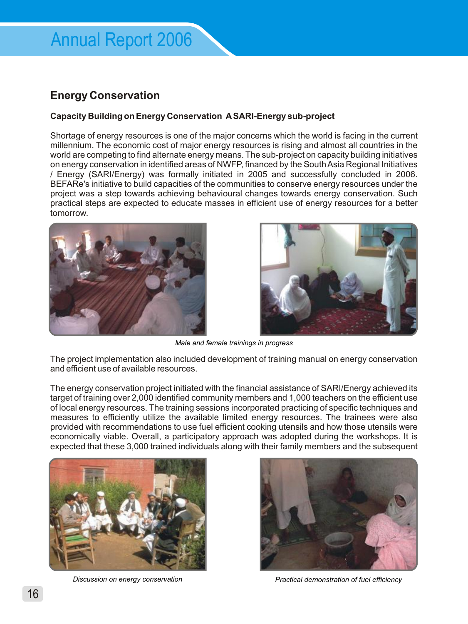## **Energy Conservation**

#### **Capacity Building on Energy Conservation ASARI-Energy sub-project**

Shortage of energy resources is one of the major concerns which the world is facing in the current millennium. The economic cost of major energy resources is rising and almost all countries in the world are competing to find alternate energy means. The sub-project on capacity building initiatives on energy conservation in identified areas of NWFP, financed by the South Asia Regional Initiatives / Energy (SARI/Energy) was formally initiated in 2005 and successfully concluded in 2006. BEFARe's initiative to build capacities of the communities to conserve energy resources under the project was a step towards achieving behavioural changes towards energy conservation. Such practical steps are expected to educate masses in efficient use of energy resources for a better tomorrow.





*Male and female trainings in progress*

The project implementation also included development of training manual on energy conservation and efficient use of available resources.

The energy conservation project initiated with the financial assistance of SARI/Energy achieved its target of training over 2,000 identified community members and 1,000 teachers on the efficient use of local energy resources. The training sessions incorporated practicing of specific techniques and measures to efficiently utilize the available limited energy resources. The trainees were also provided with recommendations to use fuel efficient cooking utensils and how those utensils were economically viable. Overall, a participatory approach was adopted during the workshops. It is expected that these 3,000 trained individuals along with their family members and the subsequent





*Discussion on energy conservation Practical demonstration of fuel efficiency*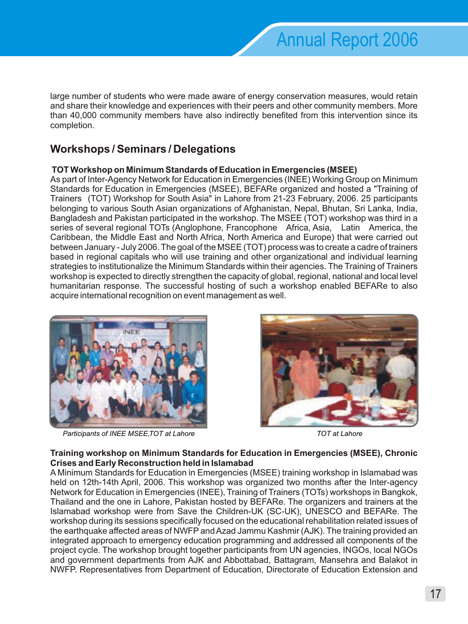large number of students who were made aware of energy conservation measures, would retain and share their knowledge and experiences with their peers and other community members. More than 40,000 community members have also indirectly benefited from this intervention since its completion.

# **Workshops / Seminars / Delegations**

#### **TOT Workshop on Minimum Standards of Education in Emergencies (MSEE)**

As part of Inter-Agency Network for Education in Emergencies (INEE) Working Group on Minimum Standards for Education in Emergencies (MSEE), BEFARe organized and hosted a "Training of Trainers (TOT) Workshop for South Asia" in Lahore from 21-23 February, 2006. 25 participants belonging to various South Asian organizations of Afghanistan, Nepal, Bhutan, Sri Lanka, India, Bangladesh and Pakistan participated in the workshop. The MSEE (TOT) workshop was third in a series of several regional TOTs (Anglophone, Francophone Africa, Asia, Latin America, the Caribbean, the Middle East and North Africa, North America and Europe) that were carried out between January - July 2006. The goal of the MSEE (TOT) process was to create a cadre of trainers based in regional capitals who will use training and other organizational and individual learning strategies to institutionalize the Minimum Standards within their agencies. The Training of Trainers workshop is expected to directly strengthen the capacity of global, regional, national and local level humanitarian response. The successful hosting of such a workshop enabled BEFARe to also acquire international recognition on event management as well.



*Participants of INEE MSEE, TOT at Lahore TOT at Lahore*



#### **Training workshop on Minimum Standards for Education in Emergencies (MSEE), Chronic Crises and Early Reconstruction held in Islamabad**

A Minimum Standards for Education in Emergencies (MSEE) training workshop in Islamabad was held on 12th-14th April, 2006. This workshop was organized two months after the Inter-agency Network for Education in Emergencies (INEE), Training of Trainers (TOTs) workshops in Bangkok, Thailand and the one in Lahore, Pakistan hosted by BEFARe. The organizers and trainers at the Islamabad workshop were from Save the Children-UK (SC-UK), UNESCO and BEFARe. The workshop during its sessions specifically focused on the educational rehabilitation related issues of the earthquake affected areas of NWFP and Azad Jammu Kashmir (AJK). The training provided an integrated approach to emergency education programming and addressed all components of the project cycle. The workshop brought together participants from UN agencies, INGOs, local NGOs and government departments from AJK and Abbottabad, Battagram, Mansehra and Balakot in NWFP. Representatives from Department of Education, Directorate of Education Extension and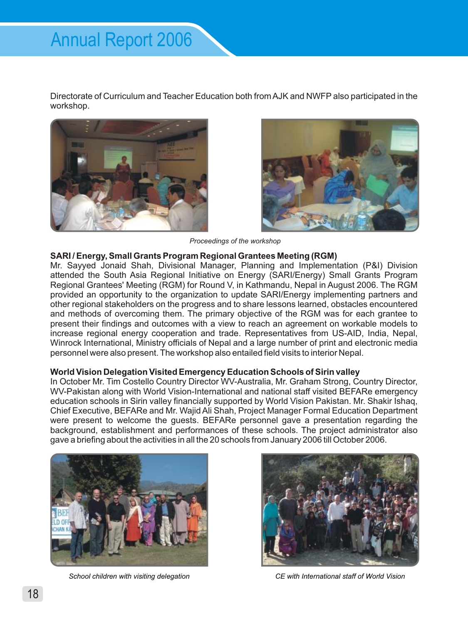Directorate of Curriculum and Teacher Education both from AJK and NWFP also participated in the workshop.





*Proceedings of the workshop*

#### **SARI / Energy, Small Grants Program Regional Grantees Meeting (RGM)**

Mr. Sayyed Jonaid Shah, Divisional Manager, Planning and Implementation (P&I) Division attended the South Asia Regional Initiative on Energy (SARI/Energy) Small Grants Program Regional Grantees' Meeting (RGM) for Round V, in Kathmandu, Nepal in August 2006. The RGM provided an opportunity to the organization to update SARI/Energy implementing partners and other regional stakeholders on the progress and to share lessons learned, obstacles encountered and methods of overcoming them. The primary objective of the RGM was for each grantee to present their findings and outcomes with a view to reach an agreement on workable models to increase regional energy cooperation and trade. Representatives from US-AID, India, Nepal, Winrock International, Ministry officials of Nepal and a large number of print and electronic media personnel were also present. The workshop also entailed field visits to interior Nepal.

#### **World Vision Delegation Visited Emergency Education Schools of Sirin valley**

In October Mr. Tim Costello Country Director WV-Australia, Mr. Graham Strong, Country Director, WV-Pakistan along with World Vision-International and national staff visited BEFARe emergency education schools in Sirin valley financially supported by World Vision Pakistan. Mr. Shakir Ishaq, Chief Executive, BEFARe and Mr. Wajid Ali Shah, Project Manager Formal Education Department were present to welcome the guests. BEFARe personnel gave a presentation regarding the background, establishment and performances of these schools. The project administrator also gave a briefing about the activities in all the 20 schools from January 2006 till October 2006.





*School children with visiting delegation CE with International staff of World Vision*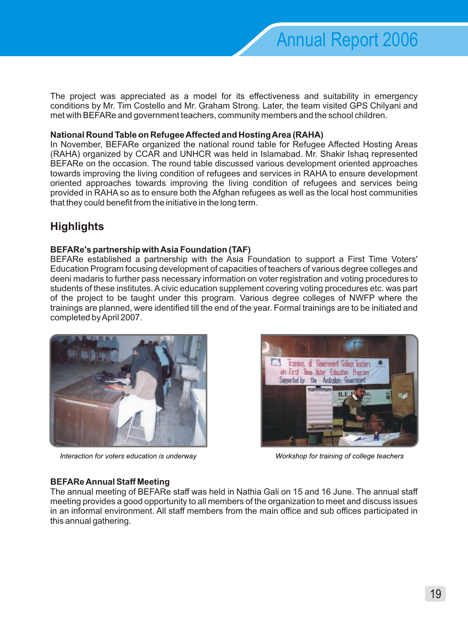The project was appreciated as a model for its effectiveness and suitability in emergency conditions by Mr. Tim Costello and Mr. Graham Strong. Later, the team visited GPS Chilyani and met with BEFARe and government teachers, community members and the school children.

#### **National Round Table on Refugee Affected and Hosting Area (RAHA)**

In November, BEFARe organized the national round table for Refugee Affected Hosting Areas (RAHA) organized by CCAR and UNHCR was held in Islamabad. Mr. Shakir Ishaq represented BEFARe on the occasion. The round table discussed various development oriented approaches towards improving the living condition of refugees and services in RAHA to ensure development oriented approaches towards improving the living condition of refugees and services being provided in RAHA so as to ensure both the Afghan refugees as well as the local host communities that they could benefit from the initiative in the long term.

# **Highlights**

#### **BEFARe's partnership with Asia Foundation (TAF)**

BEFARe established a partnership with the Asia Foundation to support a First Time Voters' Education Program focusing development of capacities of teachers of various degree colleges and deeni madaris to further pass necessary information on voter registration and voting procedures to students of these institutes. Acivic education supplement covering voting procedures etc. was part of the project to be taught under this program. Various degree colleges of NWFP where the trainings are planned, were identified till the end of the year. Formal trainings are to be initiated and completed by April 2007.



*Interaction for voters education is underway Workshop for training of college teachers*



#### **BEFARe Annual Staff Meeting**

The annual meeting of BEFARe staff was held in Nathia Gali on 15 and 16 June. The annual staff meeting provides a good opportunity to all members of the organization to meet and discuss issues in an informal environment. All staff members from the main office and sub offices participated in this annual gathering.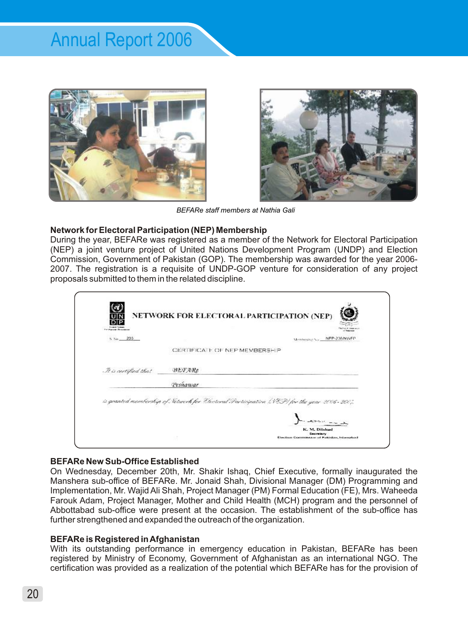



*BEFARe staff members at Nathia Gali*

#### **Network for Electoral Participation (NEP) Membership**

During the year, BEFARe was registered as a member of the Network for Electoral Participation (NEP) a joint venture project of United Nations Development Program (UNDP) and Election Commission, Government of Pakistan (GOP). The membership was awarded for the year 2006- 2007. The registration is a requisite of UNDP-GOP venture for consideration of any project proposals submitted to them in the related discipline.

| S. Nn. 203           | Membership No. NEP-206/NWFP                                                                 |
|----------------------|---------------------------------------------------------------------------------------------|
|                      | CERTIFICATE OF NEP MEMBERS                                                                  |
| It is certified that | <b>HEFARe</b>                                                                               |
|                      | Peshawar                                                                                    |
|                      | is granted membership of Setwork for Electoral Scurticipation (SEP) for the year 2006-2007. |

#### **BEFARe New Sub-Office Established**

On Wednesday, December 20th, Mr. Shakir Ishaq, Chief Executive, formally inaugurated the Manshera sub-office of BEFARe. Mr. Jonaid Shah, Divisional Manager (DM) Programming and Implementation, Mr. Wajid Ali Shah, Project Manager (PM) Formal Education (FE), Mrs. Waheeda Farouk Adam, Project Manager, Mother and Child Health (MCH) program and the personnel of Abbottabad sub-office were present at the occasion. The establishment of the sub-office has further strengthened and expanded the outreach of the organization.

#### **BEFARe is Registered in Afghanistan**

With its outstanding performance in emergency education in Pakistan, BEFARe has been registered by Ministry of Economy, Government of Afghanistan as an international NGO. The certification was provided as a realization of the potential which BEFARe has for the provision of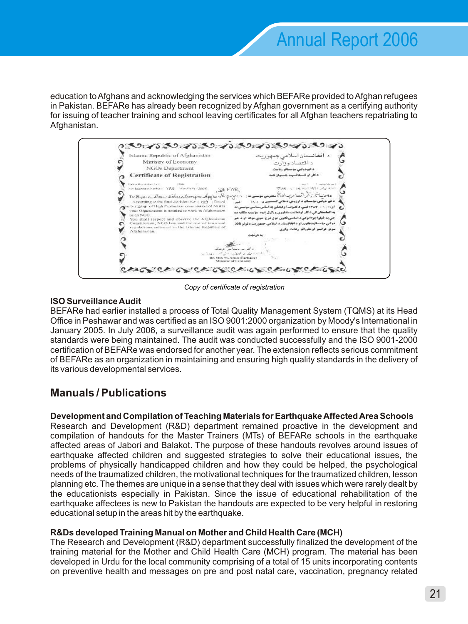education to Afghans and acknowledging the services which BEFARe provided to Afghan refugees in Pakistan. BEFARe has already been recognized by Afghan government as a certifying authority for issuing of teacher training and school leaving certificates for all Afghan teachers repatriating to Afghanistan.



*Copy of certificate of registration*

#### **ISO Surveillance Audit**

BEFARe had earlier installed a process of Total Quality Management System (TQMS) at its Head Office in Peshawar and was certified as an ISO 9001:2000 organization by Moody's International in January 2005. In July 2006, a surveillance audit was again performed to ensure that the quality standards were being maintained. The audit was conducted successfully and the ISO 9001-2000 certification of BEFARe was endorsed for another year. The extension reflects serious commitment of BEFARe as an organization in maintaining and ensuring high quality standards in the delivery of its various developmental services.

# **Manuals / Publications**

#### **Development and Compilation of Teaching Materials for Earthquake Affected Area Schools**

Research and Development (R&D) department remained proactive in the development and compilation of handouts for the Master Trainers (MTs) of BEFARe schools in the earthquake affected areas of Jabori and Balakot. The purpose of these handouts revolves around issues of earthquake affected children and suggested strategies to solve their educational issues, the problems of physically handicapped children and how they could be helped, the psychological needs of the traumatized children, the motivational techniques for the traumatized children, lesson planning etc. The themes are unique in a sense that they deal with issues which were rarely dealt by the educationists especially in Pakistan. Since the issue of educational rehabilitation of the earthquake affectees is new to Pakistan the handouts are expected to be very helpful in restoring educational setup in the areas hit by the earthquake.

#### **R&Ds developed Training Manual on Mother and Child Health Care (MCH)**

The Research and Development (R&D) department successfully finalized the development of the training material for the Mother and Child Health Care (MCH) program. The material has been developed in Urdu for the local community comprising of a total of 15 units incorporating contents on preventive health and messages on pre and post natal care, vaccination, pregnancy related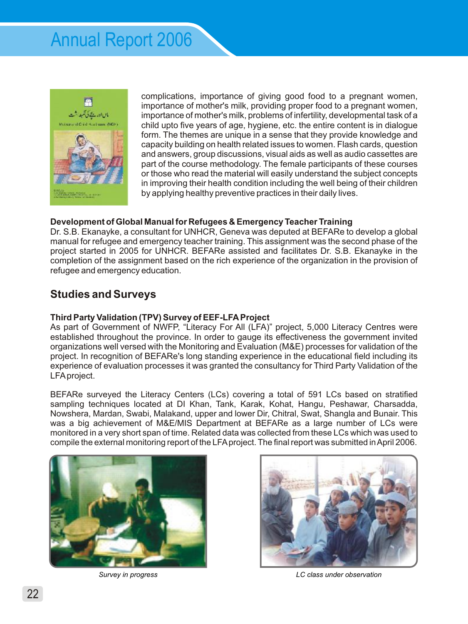

complications, importance of giving good food to a pregnant women, importance of mother's milk, providing proper food to a pregnant women, importance of mother's milk, problems of infertility, developmental task of a child upto five years of age, hygiene, etc. the entire content is in dialogue form. The themes are unique in a sense that they provide knowledge and capacity building on health related issues to women. Flash cards, question and answers, group discussions, visual aids as well as audio cassettes are part of the course methodology. The female participants of these courses or those who read the material will easily understand the subject concepts in improving their health condition including the well being of their children by applying healthy preventive practices in their daily lives.

#### **Development of Global Manual for Refugees & Emergency Teacher Training**

Dr. S.B. Ekanayke, a consultant for UNHCR, Geneva was deputed at BEFARe to develop a global manual for refugee and emergency teacher training. This assignment was the second phase of the project started in 2005 for UNHCR. BEFARe assisted and facilitates Dr. S.B. Ekanayke in the completion of the assignment based on the rich experience of the organization in the provision of refugee and emergency education.

## **Studies and Surveys**

#### **Third Party Validation (TPV) Survey of EEF-LFAProject**

As part of Government of NWFP, "Literacy For All (LFA)" project, 5,000 Literacy Centres were established throughout the province. In order to gauge its effectiveness the government invited organizations well versed with the Monitoring and Evaluation (M&E) processes for validation of the project. In recognition of BEFARe's long standing experience in the educational field including its experience of evaluation processes it was granted the consultancy for Third Party Validation of the LFAproject.

BEFARe surveyed the Literacy Centers (LCs) covering a total of 591 LCs based on stratified sampling techniques located at DI Khan, Tank, Karak, Kohat, Hangu, Peshawar, Charsadda, Nowshera, Mardan, Swabi, Malakand, upper and lower Dir, Chitral, Swat, Shangla and Bunair. This was a big achievement of M&E/MIS Department at BEFARe as a large number of LCs were monitored in a very short span of time. Related data was collected from these LCs which was used to compile the external monitoring report of the LFAproject. The final report was submitted in April 2006.





*Survey in progress LC class under observation*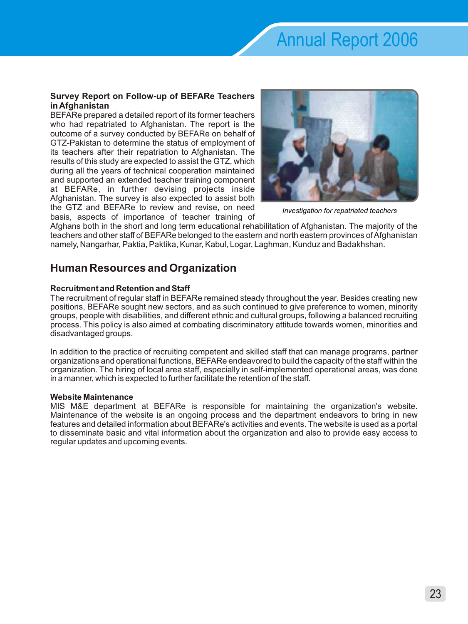#### **Survey Report on Follow-up of BEFARe Teachers in Afghanistan**

BEFARe prepared a detailed report of its former teachers who had repatriated to Afghanistan. The report is the outcome of a survey conducted by BEFARe on behalf of GTZ-Pakistan to determine the status of employment of its teachers after their repatriation to Afghanistan. The results of this study are expected to assist the GTZ, which during all the years of technical cooperation maintained and supported an extended teacher training component at BEFARe, in further devising projects inside Afghanistan. The survey is also expected to assist both the GTZ and BEFARe to review and revise, on need basis, aspects of importance of teacher training of



*Investigation for repatriated teachers*

Afghans both in the short and long term educational rehabilitation of Afghanistan. The majority of the teachers and other staff of BEFARe belonged to the eastern and north eastern provinces of Afghanistan namely, Nangarhar, Paktia, Paktika, Kunar, Kabul, Logar, Laghman, Kunduz and Badakhshan.

# **Human Resources and Organization**

#### **Recruitment and Retention and Staff**

The recruitment of regular staff in BEFARe remained steady throughout the year. Besides creating new positions, BEFARe sought new sectors, and as such continued to give preference to women, minority groups, people with disabilities, and different ethnic and cultural groups, following a balanced recruiting process. This policy is also aimed at combating discriminatory attitude towards women, minorities and disadvantaged groups.

In addition to the practice of recruiting competent and skilled staff that can manage programs, partner organizations and operational functions, BEFARe endeavored to build the capacity of the staff within the organization. The hiring of local area staff, especially in self-implemented operational areas, was done in a manner, which is expected to further facilitate the retention of the staff.

#### **Website Maintenance**

MIS M&E department at BEFARe is responsible for maintaining the organization's website. Maintenance of the website is an ongoing process and the department endeavors to bring in new features and detailed information about BEFARe's activities and events. The website is used as a portal to disseminate basic and vital information about the organization and also to provide easy access to regular updates and upcoming events.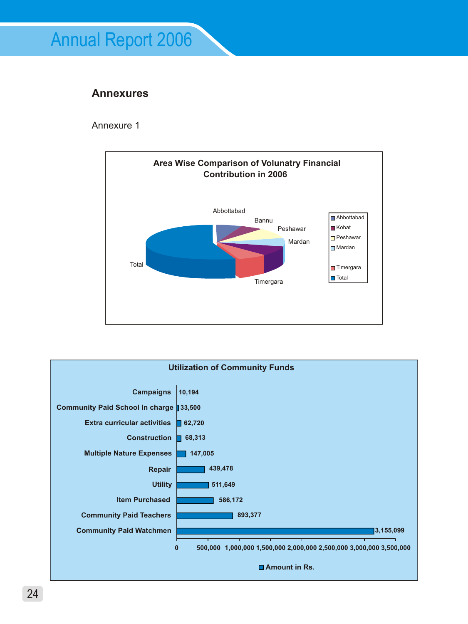# **Annexures**

Annexure 1



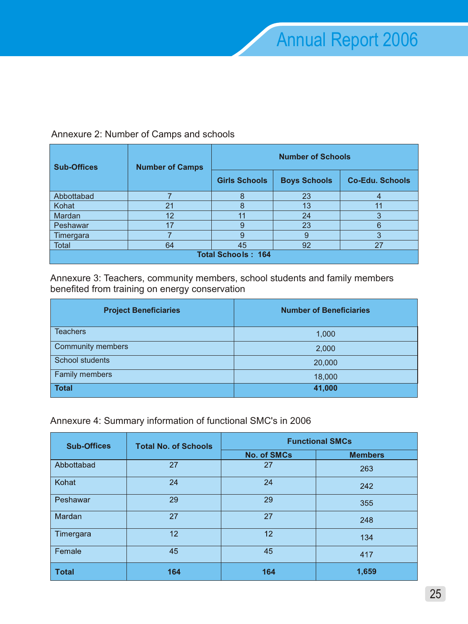**Schools** 

| <b>Sub-Offices</b> | <b>Number of Camps</b> | <b>Number of Schools</b> |                     |           |  |  |  |
|--------------------|------------------------|--------------------------|---------------------|-----------|--|--|--|
|                    |                        | <b>Girls Schools</b>     | <b>Boys Schools</b> | Co-Edu. S |  |  |  |
| Abbottabad         |                        |                          | 23                  |           |  |  |  |
| Kohat              | 21                     | 8                        | 13                  | 11        |  |  |  |
| Mardan             | 12                     |                          | 24                  | 3         |  |  |  |
| Peshawar           | 17                     | 9                        | 23                  | 6         |  |  |  |
| Timergara          |                        | 9                        |                     | 3         |  |  |  |
| Total              | 64                     | 45                       | 92                  | 27        |  |  |  |

#### Annexure 2: Number of Camps and schools

Annexure 3: Teachers, community members, school students and family members benefited from training on energy conservation

**Total Schools : 164**

| <b>Project Beneficiaries</b> | <b>Number of Beneficiaries</b> |
|------------------------------|--------------------------------|
| <b>Teachers</b>              | 1,000                          |
| <b>Community members</b>     | 2,000                          |
| School students              | 20,000                         |
| Family members               | 18,000                         |
| <b>Total</b>                 | 41,000                         |

#### Annexure 4: Summary information of functional SMC's in 2006

| <b>Sub-Offices</b> | <b>Total No. of Schools</b> | <b>Functional SMCs</b> |                |  |  |  |
|--------------------|-----------------------------|------------------------|----------------|--|--|--|
|                    |                             | <b>No. of SMCs</b>     | <b>Members</b> |  |  |  |
| Abbottabad         | 27                          | 27                     | 263            |  |  |  |
| Kohat              | 24                          | 24                     | 242            |  |  |  |
| Peshawar           | 29                          | 29                     | 355            |  |  |  |
| Mardan             | 27                          | 27                     | 248            |  |  |  |
| Timergara          | 12                          | 12                     | 134            |  |  |  |
| Female             | 45                          | 45                     | 417            |  |  |  |
| <b>Total</b>       | 164                         | 164                    | 1,659          |  |  |  |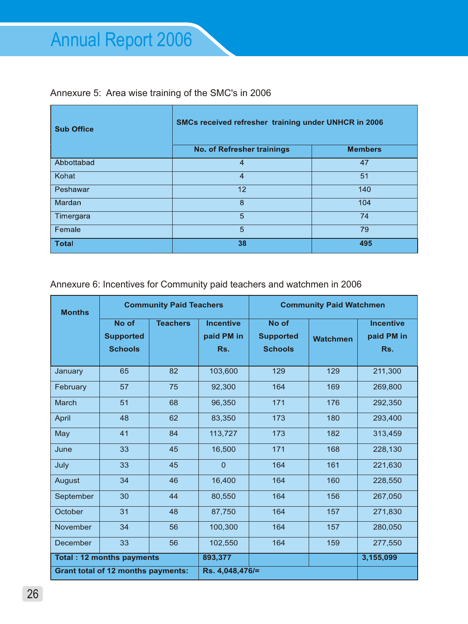## Annexure 5: Area wise training of the SMC's in 2006

| <b>Sub Office</b> | SMCs received refresher training under UNHCR in 2006 |                |  |  |  |
|-------------------|------------------------------------------------------|----------------|--|--|--|
|                   | <b>No. of Refresher trainings</b>                    | <b>Members</b> |  |  |  |
| Abbottabad        | 4                                                    | 47             |  |  |  |
| Kohat             | 4                                                    | 51             |  |  |  |
| Peshawar          | 12                                                   | 140            |  |  |  |
| Mardan            | 8                                                    | 104            |  |  |  |
| Timergara         | 5                                                    | 74             |  |  |  |
| Female            | 5                                                    | 79             |  |  |  |
| <b>Total</b>      | 38                                                   | 495            |  |  |  |

Annexure 6: Incentives for Community paid teachers and watchmen in 2006

| <b>Months</b>                     |                                             | <b>Community Paid Teachers</b> |                                       |                                             | <b>Community Paid Watchmen</b> |                                       |
|-----------------------------------|---------------------------------------------|--------------------------------|---------------------------------------|---------------------------------------------|--------------------------------|---------------------------------------|
|                                   | No of<br><b>Supported</b><br><b>Schools</b> | <b>Teachers</b>                | <b>Incentive</b><br>paid PM in<br>Rs. | No of<br><b>Supported</b><br><b>Schools</b> | <b>Watchmen</b>                | <b>Incentive</b><br>paid PM in<br>Rs. |
| January                           | 65                                          | 82                             | 103,600                               | 129                                         | 129                            | 211,300                               |
| February                          | 57                                          | 75                             | 92,300                                | 164                                         | 169                            | 269,800                               |
| March                             | 51                                          | 68                             | 96,350                                | 171                                         | 176                            | 292,350                               |
| April                             | 48                                          | 62                             | 83,350                                | 173                                         | 180                            | 293,400                               |
| May                               | 41                                          | 84                             | 113,727                               | 173                                         | 182                            | 313,459                               |
| June                              | 33                                          | 45                             | 16,500                                | 171                                         | 168                            | 228,130                               |
| July                              | 33                                          | 45                             | $\Omega$                              | 164                                         | 161                            | 221,630                               |
| August                            | 34                                          | 46                             | 16,400                                | 164                                         | 160                            | 228,550                               |
| September                         | 30                                          | 44                             | 80,550                                | 164                                         | 156                            | 267,050                               |
| October                           | 31                                          | 48                             | 87,750                                | 164                                         | 157                            | 271,830                               |
| November                          | 34                                          | 56                             | 100,300                               | 164                                         | 157                            | 280,050                               |
| December                          | 33                                          | 56                             | 102,550                               | 164                                         | 159                            | 277,550                               |
| <b>Total : 12 months payments</b> |                                             |                                | 893,377                               |                                             |                                | 3,155,099                             |
|                                   | <b>Grant total of 12 months payments:</b>   |                                | Rs. 4,048,476/=                       |                                             |                                |                                       |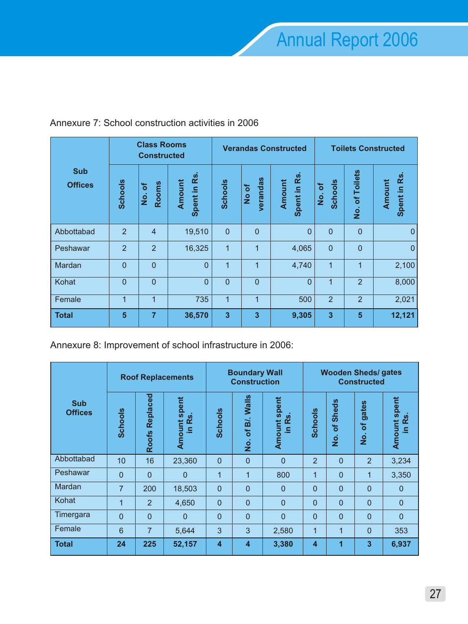|                              |                | <b>Class Rooms</b><br><b>Constructed</b> |                                 |                         |                                | <b>Verandas Constructed</b> | <b>Toilets Constructed</b>           |                          |                          |
|------------------------------|----------------|------------------------------------------|---------------------------------|-------------------------|--------------------------------|-----------------------------|--------------------------------------|--------------------------|--------------------------|
| <b>Sub</b><br><b>Offices</b> | <b>Schools</b> | Rooms<br>৳<br>$\frac{1}{2}$              | <b>Rs</b><br>Amount<br>Spent in | <b>Schools</b>          | verandas<br>৳<br>$\frac{1}{2}$ | Spent in Rs<br>Amount       | <b>Schools</b><br>৳<br>$\frac{1}{2}$ | <b>Toilets</b><br>No. of | Rs<br>Amount<br>Spent in |
| Abbottabad                   | $\overline{2}$ | $\overline{4}$                           | 19,510                          | $\overline{0}$          | $\overline{0}$                 | $\overline{0}$              | $\overline{0}$                       | $\overline{0}$           | $\theta$                 |
| Peshawar                     | $\overline{2}$ | $\overline{2}$                           | 16,325                          | $\mathbf{1}$            | 1                              | 4,065                       | $\mathbf{0}$                         | $\overline{0}$           | $\mathbf{0}$             |
| Mardan                       | $\overline{0}$ | $\overline{0}$                           | $\overline{0}$                  | $\mathbf{1}$            | 1                              | 4,740                       | $\mathbf{1}$                         | 1                        | 2,100                    |
| Kohat                        | $\overline{0}$ | $\overline{0}$                           | $\overline{0}$                  | $\overline{0}$          | $\overline{0}$                 | $\overline{0}$              | 1                                    | $\overline{2}$           | 8,000                    |
| Female                       | 1              | 1                                        | 735                             | 1                       | 1                              | 500                         | 2                                    | $\overline{2}$           | 2,021                    |
| <b>Total</b>                 | 5              | $\overline{7}$                           | 36,570                          | $\overline{\mathbf{3}}$ | 3                              | 9,305                       | 3                                    | 5                        | 12,121                   |

## Annexure 7: School construction activities in 2006

Annexure 8: Improvement of school infrastructure in 2006:

|                              | <b>Roof Replacements</b> |                          |                                                |                         | <b>Boundary Wall</b><br><b>Construction</b>   |                                    |                         | <b>Wooden Sheds/gates</b><br><b>Constructed</b>      |                                                     |                               |
|------------------------------|--------------------------|--------------------------|------------------------------------------------|-------------------------|-----------------------------------------------|------------------------------------|-------------------------|------------------------------------------------------|-----------------------------------------------------|-------------------------------|
| <b>Sub</b><br><b>Offices</b> | <b>Schools</b>           | Replaced<br><b>Roofs</b> | <b>Amount spent</b><br><b>vi</b><br>œ<br>$\Xi$ | <b>Schools</b>          | Walls<br>Bİ.<br>$\mathbf{b}$<br>$\frac{1}{2}$ | Amount spent<br><b>i</b><br>œ<br>르 | <b>Schools</b>          | <b>Sheds</b><br>$\overline{\sigma}$<br>$\frac{1}{2}$ | gates<br>Ⴆ<br>$\frac{\dot{\mathsf{o}}}{\mathsf{z}}$ | <b>Amount spent</b><br>in Rs. |
| Abbottabad                   | 10                       | 16                       | 23,360                                         | $\overline{0}$          | $\overline{0}$                                | $\overline{0}$                     | $\overline{2}$          | $\Omega$                                             | $\overline{2}$                                      | 3,234                         |
| Peshawar                     | $\mathbf{0}$             | $\overline{0}$           | $\mathbf{0}$                                   | 1                       | 1                                             | 800                                | $\mathbf{1}$            | $\overline{0}$                                       | $\mathbf{1}$                                        | 3,350                         |
| Mardan                       | $\overline{7}$           | 200                      | 18,503                                         | $\overline{0}$          | $\Omega$                                      | $\mathbf{0}$                       | $\Omega$                | $\Omega$                                             | $\Omega$                                            | $\Omega$                      |
| Kohat                        | 1                        | $\overline{2}$           | 4,650                                          | $\mathbf{0}$            | $\overline{0}$                                | $\overline{0}$                     | $\overline{0}$          | $\overline{0}$                                       | $\overline{0}$                                      | $\mathbf{0}$                  |
| Timergara                    | $\mathbf{0}$             | $\mathbf 0$              | $\mathbf{0}$                                   | $\mathbf{0}$            | 0                                             | $\overline{0}$                     | $\mathbf{0}$            | $\Omega$                                             | $\Omega$                                            | $\mathbf{0}$                  |
| Female                       | 6                        | $\overline{7}$           | 5,644                                          | 3                       | 3                                             | 2,580                              | 1                       | $\mathbf{1}$                                         | $\Omega$                                            | 353                           |
| <b>Total</b>                 | 24                       | 225                      | 52,157                                         | $\overline{\mathbf{4}}$ | $\overline{\mathbf{4}}$                       | 3,380                              | $\overline{\mathbf{4}}$ | 1                                                    | 3                                                   | 6,937                         |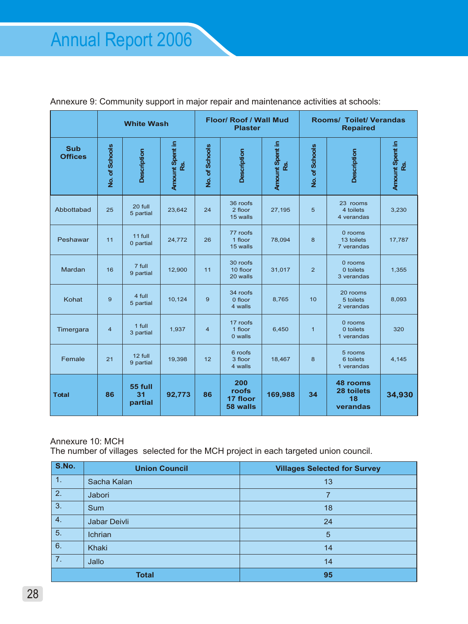|                              |                | <b>White Wash</b>        |                        |                | <b>Floor/ Roof / Wall Mud</b><br><b>Plaster</b> |         | <b>Rooms/ Toilet/ Verandas</b><br><b>Repaired</b> |                                          |                      |  |
|------------------------------|----------------|--------------------------|------------------------|----------------|-------------------------------------------------|---------|---------------------------------------------------|------------------------------------------|----------------------|--|
| <b>Sub</b><br><b>Offices</b> | No. of Schools | <b>Description</b>       | Amount Spent in<br>RŚ. | No. of Schools | Amount Spent in<br><b>Description</b><br>œ.     |         | No. of Schools                                    | Description                              | Amount Spent in<br>8 |  |
| Abbottabad                   | 25             | 20 full<br>5 partial     | 23,642                 | 24             | 36 roofs<br>2 floor<br>15 walls                 | 27,195  | 5                                                 | 23 rooms<br>4 toilets<br>4 verandas      | 3,230                |  |
| Peshawar                     | 11             | 11 full<br>0 partial     | 24,772                 | 26             | 77 roofs<br>1 floor<br>15 walls                 | 78,094  | 8                                                 | $0$ rooms<br>13 toilets<br>7 verandas    | 17,787               |  |
| Mardan                       | 16             | 7 full<br>9 partial      | 12,900                 | 11             | 30 roofs<br>10 floor<br>20 walls                | 31,017  | 2                                                 | 0 rooms<br>0 toilets<br>3 verandas       | 1,355                |  |
| Kohat                        | 9              | 4 full<br>5 partial      | 10,124                 | 9              | 34 roofs<br>0 floor<br>4 walls                  | 8,765   | 10                                                | 20 rooms<br>5 toilets<br>2 verandas      | 8,093                |  |
| Timergara                    | $\overline{4}$ | 1 full<br>3 partial      | 1,937                  | $\overline{4}$ | 17 roofs<br>1 floor<br>0 walls                  | 6,450   | $\mathbf{1}$                                      | 0 rooms<br>0 toilets<br>1 verandas       | 320                  |  |
| Female                       | 21             | 12 full<br>9 partial     | 19,398                 | 12             | 6 roofs<br>3 floor<br>4 walls                   | 18,467  | 8                                                 | 5 rooms<br>6 toilets<br>1 verandas       | 4,145                |  |
| <b>Total</b>                 | 86             | 55 full<br>31<br>partial | 92,773                 | 86             | 200<br>roofs<br>17 floor<br>58 walls            | 169,988 | 34                                                | 48 rooms<br>28 toilets<br>18<br>verandas | 34,930               |  |

Annexure 9: Community support in major repair and maintenance activities at schools:

#### Annexure 10: MCH

The number of villages selected for the MCH project in each targeted union council.

| S.No. | <b>Union Council</b> | <b>Villages Selected for Survey</b> |  |  |  |
|-------|----------------------|-------------------------------------|--|--|--|
| 1.    | Sacha Kalan          | 13                                  |  |  |  |
| 2.    | Jabori               | 7                                   |  |  |  |
| 3.    | <b>Sum</b>           | 18                                  |  |  |  |
| 4.    | Jabar Deivli         | 24                                  |  |  |  |
| 5.    | Ichrian              | 5                                   |  |  |  |
| 6.    | Khaki                | 14                                  |  |  |  |
| 7.    | Jallo                | 14                                  |  |  |  |
|       | <b>Total</b>         | 95                                  |  |  |  |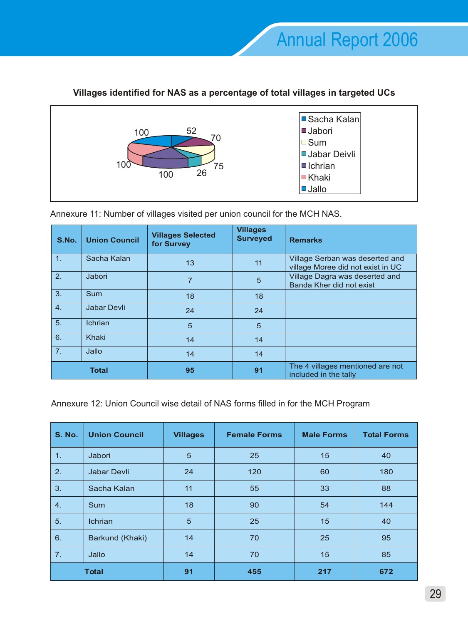

## **Villages identified for NAS as a percentage of total villages in targeted UCs**

Annexure 11: Number of villages visited per union council for the MCH NAS.

| S.No.            | <b>Union Council</b> | <b>Villages Selected</b><br>for Survey | <b>Villages</b><br><b>Surveyed</b> | <b>Remarks</b>                                                       |
|------------------|----------------------|----------------------------------------|------------------------------------|----------------------------------------------------------------------|
| $\overline{1}$ . | Sacha Kalan          | 13                                     | 11                                 | Village Serban was deserted and<br>village Moree did not exist in UC |
| 2.               | Jabori               | 7                                      | 5                                  | Village Dagra was deserted and<br>Banda Kher did not exist           |
| 3.               | Sum                  | 18                                     | 18                                 |                                                                      |
| 4.               | <b>Jabar Devli</b>   | 24                                     | 24                                 |                                                                      |
| 5.               | <b>Ichrian</b>       | 5                                      | 5                                  |                                                                      |
| 6.               | Khaki                | 14                                     | 14                                 |                                                                      |
| 7.               | Jallo                | 14                                     | 14                                 |                                                                      |
|                  | <b>Total</b>         | 95                                     | 91                                 | The 4 villages mentioned are not<br>included in the tally            |

Annexure 12: Union Council wise detail of NAS forms filled in for the MCH Program

| <b>S. No.</b>  | <b>Union Council</b> | <b>Villages</b> | <b>Female Forms</b> | <b>Male Forms</b> | <b>Total Forms</b> |  |
|----------------|----------------------|-----------------|---------------------|-------------------|--------------------|--|
| 1 <sub>1</sub> | Jabori               | 5               | 25                  | 15                | 40                 |  |
| 2.             | <b>Jabar Devli</b>   | 24              | 120                 | 60                | 180                |  |
| 3.             | Sacha Kalan          | 11              | 55                  | 33                | 88                 |  |
| 4.             | <b>Sum</b>           | 18              | 90                  | 54                | 144                |  |
| 5.             | Ichrian              | 5               | 25                  | 15                | 40                 |  |
| 6.             | Barkund (Khaki)      | 14              | 70                  | 25                | 95                 |  |
| 7.             | Jallo                | 14              | 70                  | 15                | 85                 |  |
|                | <b>Total</b>         | 91              | 455                 | 217               | 672                |  |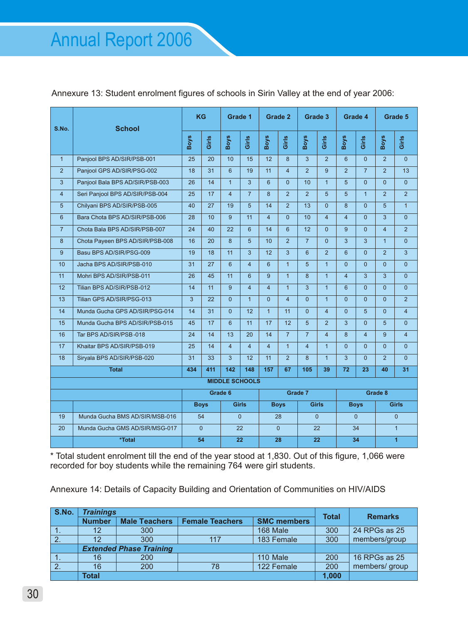#### Annexure 13: Student enrolment figures of schools in Sirin Valley at the end of year 2006:

| S.No.                 | <b>School</b>                   |     | <b>KG</b>   |                         | Grade 1        |                  | Grade 2        |                | Grade 3        |                         | Grade 4        |                | Grade 5        |  |
|-----------------------|---------------------------------|-----|-------------|-------------------------|----------------|------------------|----------------|----------------|----------------|-------------------------|----------------|----------------|----------------|--|
|                       |                                 |     | Girls       | <b>Boys</b>             | Girls          | <b>Boys</b>      | Girls          | <b>Boys</b>    | Girls          | <b>Boys</b>             | Girls          | <b>Boys</b>    | Girls          |  |
| $\mathbf{1}$          | Panjool BPS AD/SIR/PSB-001      | 25  | 20          | 10                      | 15             | 12 <sup>12</sup> | $\mathbf{8}$   | $\overline{3}$ | $\mathcal{P}$  | 6                       | $\Omega$       | $\mathcal{P}$  | $\overline{0}$ |  |
| $\overline{2}$        | Panjool GPS AD/SIR/PSG-002      | 18  | 31          | 6                       | 19             | 11               | $\overline{4}$ | $\overline{2}$ | 9              | $\overline{2}$          | $\overline{7}$ | $\overline{2}$ | 13             |  |
| 3                     | Panjool Bala BPS AD/SIR/PSB-003 | 26  | 14          | $\overline{1}$          | 3              | $6\phantom{1}$   | $\Omega$       | 10             | $\overline{1}$ | 5                       | $\overline{0}$ | $\overline{0}$ | $\overline{0}$ |  |
| $\overline{4}$        | Seri Panjool BPS AD/SIR/PSB-004 | 25  | 17          | $\overline{\mathbf{4}}$ | $\overline{7}$ | 8                | 2              | 2              | 5              | 5                       | $\mathbf{1}$   | $\overline{2}$ | $\overline{2}$ |  |
| 5                     | Chilyani BPS AD/SIR/PSB-005     | 40  | 27          | 19                      | $\overline{5}$ | 14               | $\mathfrak{p}$ | 13             | $\Omega$       | $\mathsf{R}$            | $\Omega$       | 5 <sup>5</sup> | $\overline{1}$ |  |
| 6                     | Bara Chota BPS AD/SIR/PSB-006   | 28  | 10          | 9                       | 11             | $\overline{4}$   | $\Omega$       | 10             | $\overline{4}$ | $\overline{\mathbf{4}}$ | $\Omega$       | 3              | $\Omega$       |  |
| $\overline{7}$        | Chota Bala BPS AD/SIR/PSB-007   | 24  | 40          | 22                      | 6              | 14               | 6              | 12<br>$\Omega$ |                | 9                       | $\Omega$       | $\overline{4}$ | $\overline{2}$ |  |
| 8                     | Chota Payeen BPS AD/SIR/PSB-008 | 16  | 20          | 8                       | 5              | 10               | $\overline{2}$ | $\overline{7}$ | $\Omega$       | 3                       | 3              | $\overline{1}$ | $\overline{0}$ |  |
| 9                     | Basu BPS AD/SIR/PSG-009         | 19  | 18          | 11                      | 3              | 12               | 3              | 6              | 2              | 6                       | $\Omega$       | $\overline{2}$ | 3              |  |
| 10                    | Jacha BPS AD/SIR/PSB-010        | 31  | 27          | 6                       | $\overline{4}$ | 6                | $\overline{1}$ | 5              | $\overline{1}$ | $\overline{0}$          | $\overline{0}$ | $\overline{0}$ | $\overline{0}$ |  |
| 11                    | Mohri BPS AD/SIR/PSB-011        | 26  | 45          | 11                      | 6              | 9                | $\overline{1}$ | $\mathbf{8}$   | $\mathbf{1}$   | $\overline{\mathbf{4}}$ | 3              | 3              | $\Omega$       |  |
| 12                    | Tilian BPS AD/SIR/PSB-012       | 14  | 11          | $\mathbf{q}$            | $\overline{4}$ | $\overline{4}$   | $\overline{1}$ | 3              | $\overline{1}$ | 6                       | $\Omega$       | $\Omega$       | $\Omega$       |  |
| 13                    | Tilian GPS AD/SIR/PSG-013       | 3   | 22          | $\overline{0}$          | $\mathbf{1}$   | $\Omega$         | $\overline{4}$ | $\Omega$       | $\mathbf{1}$   | $\Omega$                | $\Omega$       | $\Omega$       | $\overline{2}$ |  |
| 14                    | Munda Gucha GPS AD/SIR/PSG-014  | 14  | 31          | $\overline{0}$          | 12             | $\overline{1}$   | 11             | $\overline{0}$ | $\overline{4}$ | $\Omega$                | 5              | $\Omega$       | $\overline{4}$ |  |
| 15                    | Munda Gucha BPS AD/SIR/PSB-015  | 45  | 17          | 6                       | 11             | 17               | 12             | 5              | 2              | 3                       | $\Omega$       | 5              | $\overline{0}$ |  |
| 16                    | Tar BPS AD/SIR/PSB-018          | 24  | 14          | 13                      | 20             | 14               | $\overline{7}$ | $\overline{7}$ | $\overline{4}$ | 8                       | $\overline{4}$ | 9              | $\overline{4}$ |  |
| 17                    | Khaitar BPS AD/SIR/PSB-019      | 25  | 14          | $\overline{\mathbf{4}}$ | $\overline{4}$ | $\overline{4}$   | $\overline{1}$ | $\overline{4}$ | $\overline{1}$ | $\overline{0}$          | $\Omega$       | $\overline{0}$ | $\overline{0}$ |  |
| 18                    | Siryala BPS AD/SIR/PSB-020      | 31  | 33          | 3                       | 12             | 11               | $\overline{2}$ | 8              | $\overline{1}$ | 3                       | $\Omega$       | $\overline{2}$ | $\Omega$       |  |
| <b>Total</b>          |                                 | 434 | 411         | 142                     | 148            | 157              | 67             | 105            | 39             | 72                      | 23             | 40             | 31             |  |
| <b>MIDDLE SCHOOLS</b> |                                 |     |             |                         |                |                  |                |                |                |                         |                |                |                |  |
|                       |                                 |     |             | Grade 6                 |                |                  |                | Grade 7        |                |                         |                | Grade 8        |                |  |
|                       |                                 |     | <b>Boys</b> | <b>Girls</b>            |                | <b>Boys</b>      |                | <b>Girls</b>   |                | <b>Boys</b>             |                | <b>Girls</b>   |                |  |
| 19                    | Munda Gucha BMS AD/SIR/MSB-016  |     | 54          | $\Omega$                |                | 28               |                | $\Omega$       |                | $\overline{0}$          |                | $\overline{0}$ |                |  |
| 20                    | Munda Gucha GMS AD/SIR/MSG-017  |     | $\Omega$    |                         | 22             | $\Omega$         |                | 22             |                | 34                      |                | $\mathbf{1}$   |                |  |
|                       | *Total                          |     | 54          |                         | 22             | 28               |                | 22             |                | 34                      |                |                | $\overline{1}$ |  |

\* Total student enrolment till the end of the year stood at 1,830. Out of this figure, 1,066 were recorded for boy students while the remaining 764 were girl students.

Annexure 14: Details of Capacity Building and Orientation of Communities on HIV/AIDS

| S.No. | <b>Trainings</b> |                                | <b>Total</b>           | <b>Remarks</b>     |               |                |  |
|-------|------------------|--------------------------------|------------------------|--------------------|---------------|----------------|--|
|       | <b>Number</b>    | <b>Male Teachers</b>           | <b>Female Teachers</b> | <b>SMC members</b> |               |                |  |
| .     | 12               | 300                            |                        | 168 Male           | 300           | 24 RPGs as 25  |  |
|       | 12               | 300                            | 117                    | 300                | members/group |                |  |
|       |                  | <b>Extended Phase Training</b> |                        |                    |               |                |  |
|       | 16               | 200                            |                        | 110 Male           | 200           | 16 RPGs as 25  |  |
|       | 16               | 122 Female<br>200<br>78        |                        |                    | 200           | members/ group |  |
|       | <b>Total</b>     |                                |                        |                    | 1,000         |                |  |